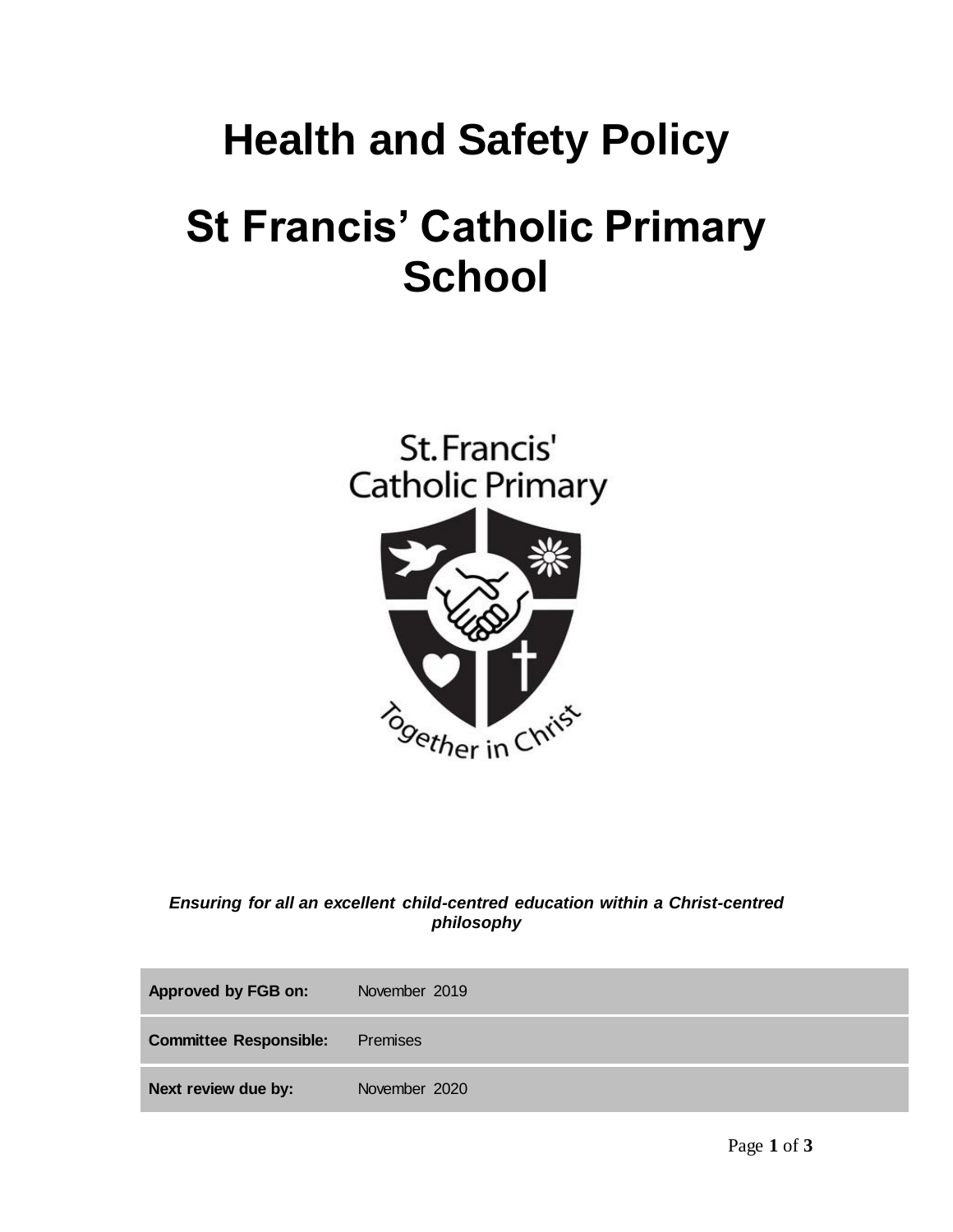## **Health and Safety Policy St Francis' Catholic Primary School**



*Ensuring for all an excellent child-centred education within a Christ-centred philosophy*

| Approved by FGB on:           | November 2019 |
|-------------------------------|---------------|
| <b>Committee Responsible:</b> | Premises      |
| Next review due by:           | November 2020 |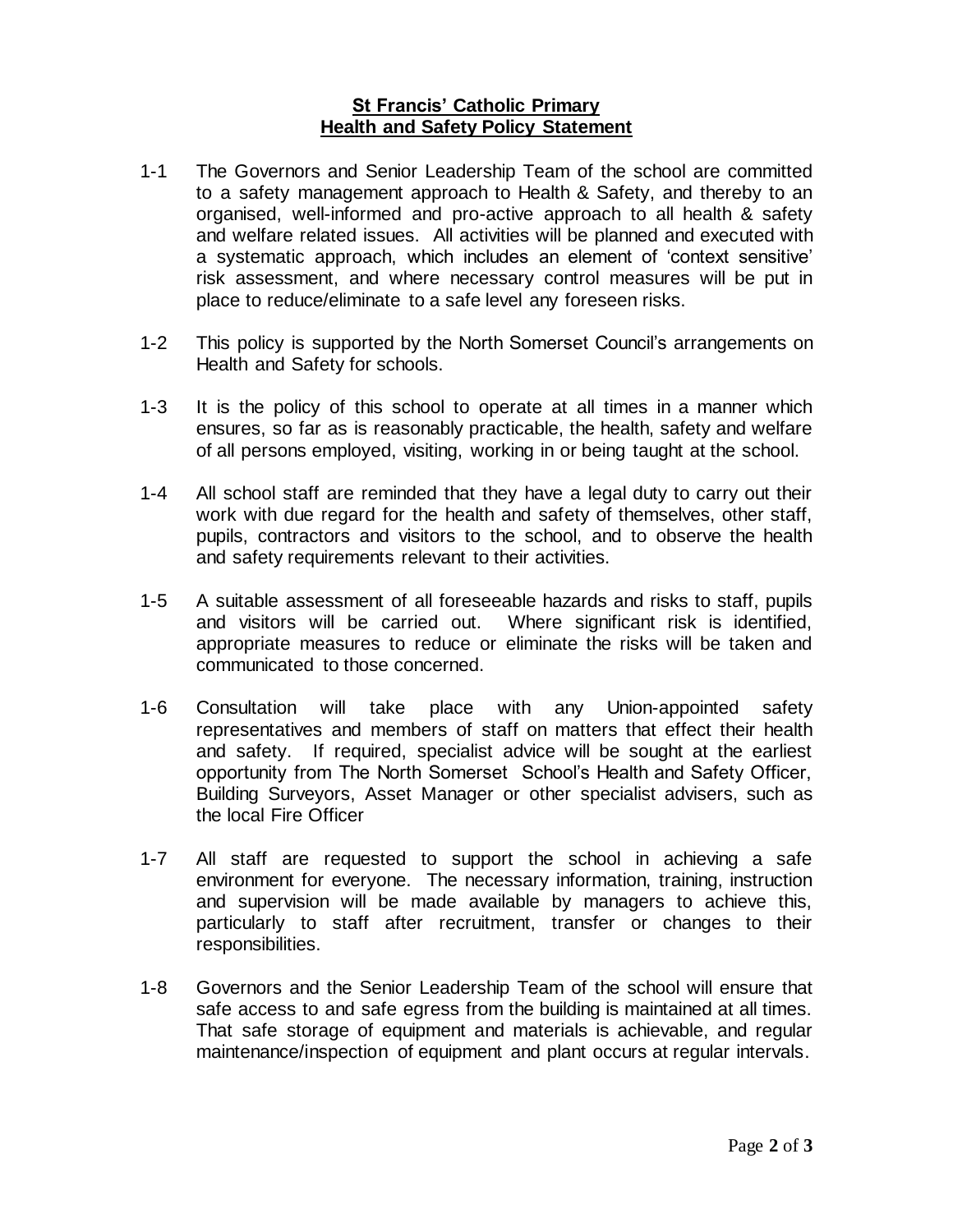## **St Francis' Catholic Primary Health and Safety Policy Statement**

- 1-1 The Governors and Senior Leadership Team of the school are committed to a safety management approach to Health & Safety, and thereby to an organised, well-informed and pro-active approach to all health & safety and welfare related issues. All activities will be planned and executed with a systematic approach, which includes an element of 'context sensitive' risk assessment, and where necessary control measures will be put in place to reduce/eliminate to a safe level any foreseen risks.
- 1-2 This policy is supported by the North Somerset Council's arrangements on Health and Safety for schools.
- 1-3 It is the policy of this school to operate at all times in a manner which ensures, so far as is reasonably practicable, the health, safety and welfare of all persons employed, visiting, working in or being taught at the school.
- 1-4 All school staff are reminded that they have a legal duty to carry out their work with due regard for the health and safety of themselves, other staff, pupils, contractors and visitors to the school, and to observe the health and safety requirements relevant to their activities.
- 1-5 A suitable assessment of all foreseeable hazards and risks to staff, pupils and visitors will be carried out. Where significant risk is identified, appropriate measures to reduce or eliminate the risks will be taken and communicated to those concerned.
- 1-6 Consultation will take place with any Union-appointed safety representatives and members of staff on matters that effect their health and safety. If required, specialist advice will be sought at the earliest opportunity from The North Somerset School's Health and Safety Officer, Building Surveyors, Asset Manager or other specialist advisers, such as the local Fire Officer
- 1-7 All staff are requested to support the school in achieving a safe environment for everyone. The necessary information, training, instruction and supervision will be made available by managers to achieve this, particularly to staff after recruitment, transfer or changes to their responsibilities.
- 1-8 Governors and the Senior Leadership Team of the school will ensure that safe access to and safe egress from the building is maintained at all times. That safe storage of equipment and materials is achievable, and regular maintenance/inspection of equipment and plant occurs at regular intervals.